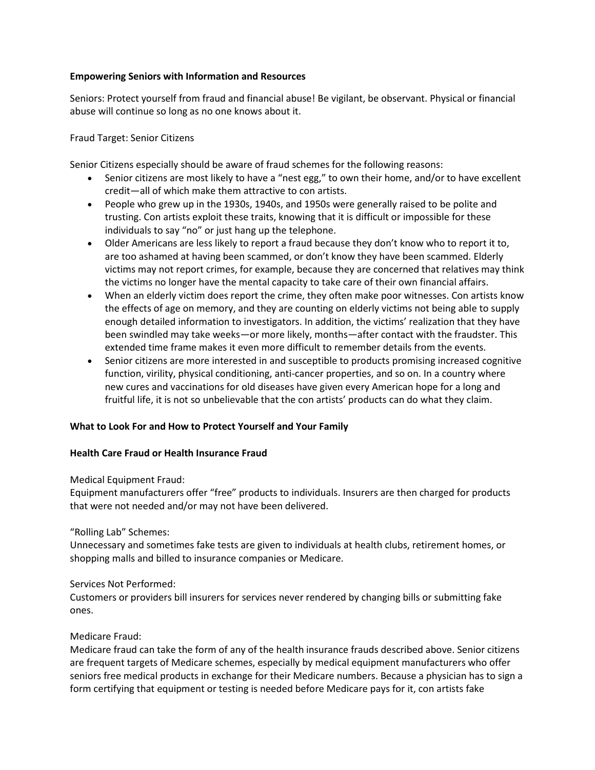### **Empowering Seniors with Information and Resources**

Seniors: Protect yourself from fraud and financial abuse! Be vigilant, be observant. Physical or financial abuse will continue so long as no one knows about it.

Fraud Target: Senior Citizens

Senior Citizens especially should be aware of fraud schemes for the following reasons:

- Senior citizens are most likely to have a "nest egg," to own their home, and/or to have excellent credit—all of which make them attractive to con artists.
- People who grew up in the 1930s, 1940s, and 1950s were generally raised to be polite and trusting. Con artists exploit these traits, knowing that it is difficult or impossible for these individuals to say "no" or just hang up the telephone.
- Older Americans are less likely to report a fraud because they don't know who to report it to, are too ashamed at having been scammed, or don't know they have been scammed. Elderly victims may not report crimes, for example, because they are concerned that relatives may think the victims no longer have the mental capacity to take care of their own financial affairs.
- When an elderly victim does report the crime, they often make poor witnesses. Con artists know the effects of age on memory, and they are counting on elderly victims not being able to supply enough detailed information to investigators. In addition, the victims' realization that they have been swindled may take weeks—or more likely, months—after contact with the fraudster. This extended time frame makes it even more difficult to remember details from the events.
- Senior citizens are more interested in and susceptible to products promising increased cognitive function, virility, physical conditioning, anti-cancer properties, and so on. In a country where new cures and vaccinations for old diseases have given every American hope for a long and fruitful life, it is not so unbelievable that the con artists' products can do what they claim.

#### **What to Look For and How to Protect Yourself and Your Family**

#### **Health Care Fraud or Health Insurance Fraud**

Medical Equipment Fraud:

Equipment manufacturers offer "free" products to individuals. Insurers are then charged for products that were not needed and/or may not have been delivered.

"Rolling Lab" Schemes:

Unnecessary and sometimes fake tests are given to individuals at health clubs, retirement homes, or shopping malls and billed to insurance companies or Medicare.

#### Services Not Performed:

Customers or providers bill insurers for services never rendered by changing bills or submitting fake ones.

### Medicare Fraud:

Medicare fraud can take the form of any of the health insurance frauds described above. Senior citizens are frequent targets of Medicare schemes, especially by medical equipment manufacturers who offer seniors free medical products in exchange for their Medicare numbers. Because a physician has to sign a form certifying that equipment or testing is needed before Medicare pays for it, con artists fake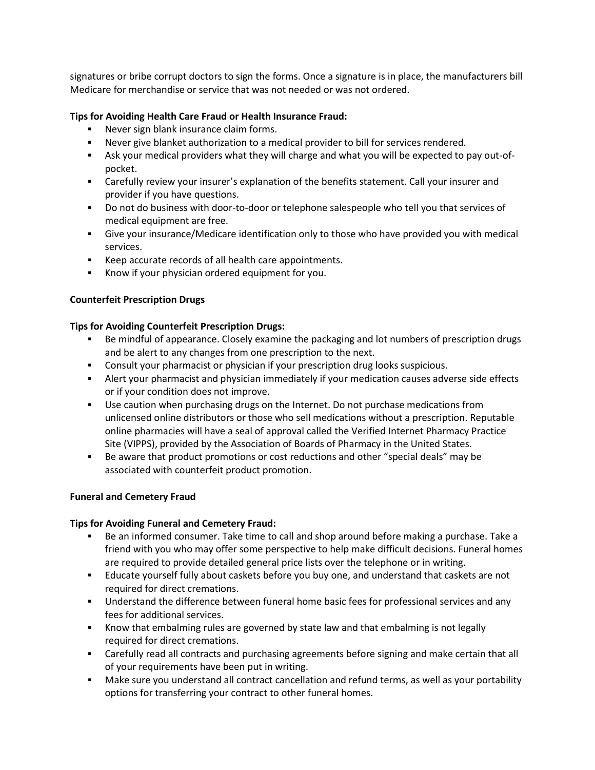signatures or bribe corrupt doctors to sign the forms. Once a signature is in place, the manufacturers bill Medicare for merchandise or service that was not needed or was not ordered.

## **Tips for Avoiding Health Care Fraud or Health Insurance Fraud:**

- **Never sign blank insurance claim forms.**
- Never give blanket authorization to a medical provider to bill for services rendered.
- Ask your medical providers what they will charge and what you will be expected to pay out-ofpocket.
- Carefully review your insurer's explanation of the benefits statement. Call your insurer and provider if you have questions.
- Do not do business with door-to-door or telephone salespeople who tell you that services of medical equipment are free.
- Give your insurance/Medicare identification only to those who have provided you with medical services.
- Keep accurate records of all health care appointments.
- Know if your physician ordered equipment for you.

### **Counterfeit Prescription Drugs**

### **Tips for Avoiding Counterfeit Prescription Drugs:**

- Be mindful of appearance. Closely examine the packaging and lot numbers of prescription drugs and be alert to any changes from one prescription to the next.
- Consult your pharmacist or physician if your prescription drug looks suspicious.
- Alert your pharmacist and physician immediately if your medication causes adverse side effects or if your condition does not improve.
- Use caution when purchasing drugs on the Internet. Do not purchase medications from unlicensed online distributors or those who sell medications without a prescription. Reputable online pharmacies will have a seal of approval called the Verified Internet Pharmacy Practice Site (VIPPS), provided by the Association of Boards of Pharmacy in the United States.
- Be aware that product promotions or cost reductions and other "special deals" may be associated with counterfeit product promotion.

### **Funeral and Cemetery Fraud**

### **Tips for Avoiding Funeral and Cemetery Fraud:**

- Be an informed consumer. Take time to call and shop around before making a purchase. Take a friend with you who may offer some perspective to help make difficult decisions. Funeral homes are required to provide detailed general price lists over the telephone or in writing.
- Educate yourself fully about caskets before you buy one, and understand that caskets are not required for direct cremations.
- Understand the difference between funeral home basic fees for professional services and any fees for additional services.
- Know that embalming rules are governed by state law and that embalming is not legally required for direct cremations.
- Carefully read all contracts and purchasing agreements before signing and make certain that all of your requirements have been put in writing.
- Make sure you understand all contract cancellation and refund terms, as well as your portability options for transferring your contract to other funeral homes.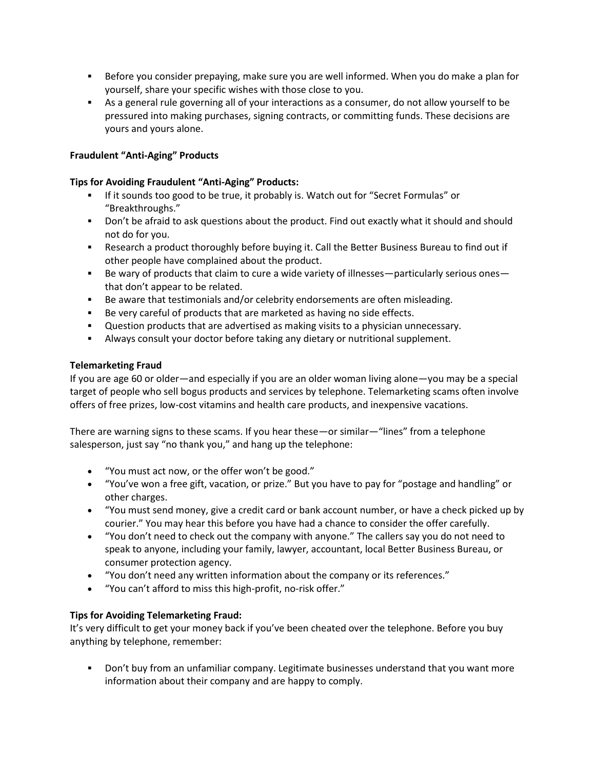- Before you consider prepaying, make sure you are well informed. When you do make a plan for yourself, share your specific wishes with those close to you.
- As a general rule governing all of your interactions as a consumer, do not allow yourself to be pressured into making purchases, signing contracts, or committing funds. These decisions are yours and yours alone.

# **Fraudulent "Anti-Aging" Products**

## **Tips for Avoiding Fraudulent "Anti-Aging" Products:**

- If it sounds too good to be true, it probably is. Watch out for "Secret Formulas" or "Breakthroughs."
- Don't be afraid to ask questions about the product. Find out exactly what it should and should not do for you.
- Research a product thoroughly before buying it. Call the Better Business Bureau to find out if other people have complained about the product.
- Be wary of products that claim to cure a wide variety of illnesses—particularly serious ones that don't appear to be related.
- Be aware that testimonials and/or celebrity endorsements are often misleading.
- Be very careful of products that are marketed as having no side effects.
- Question products that are advertised as making visits to a physician unnecessary.
- Always consult your doctor before taking any dietary or nutritional supplement.

## **Telemarketing Fraud**

If you are age 60 or older—and especially if you are an older woman living alone—you may be a special target of people who sell bogus products and services by telephone. Telemarketing scams often involve offers of free prizes, low-cost vitamins and health care products, and inexpensive vacations.

There are warning signs to these scams. If you hear these—or similar—"lines" from a telephone salesperson, just say "no thank you," and hang up the telephone:

- "You must act now, or the offer won't be good."
- "You've won a free gift, vacation, or prize." But you have to pay for "postage and handling" or other charges.
- "You must send money, give a credit card or bank account number, or have a check picked up by courier." You may hear this before you have had a chance to consider the offer carefully.
- "You don't need to check out the company with anyone." The callers say you do not need to speak to anyone, including your family, lawyer, accountant, local Better Business Bureau, or consumer protection agency.
- "You don't need any written information about the company or its references."
- "You can't afford to miss this high-profit, no-risk offer."

### **Tips for Avoiding Telemarketing Fraud:**

It's very difficult to get your money back if you've been cheated over the telephone. Before you buy anything by telephone, remember:

 Don't buy from an unfamiliar company. Legitimate businesses understand that you want more information about their company and are happy to comply.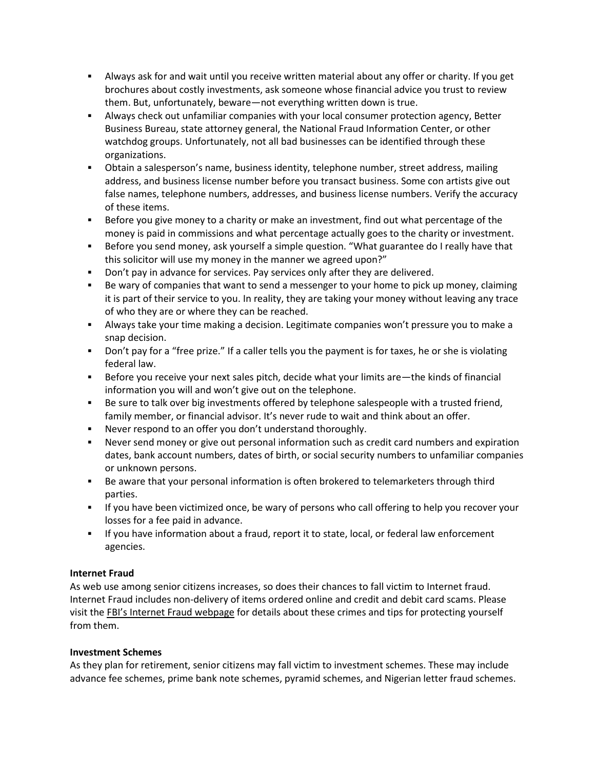- Always ask for and wait until you receive written material about any offer or charity. If you get brochures about costly investments, ask someone whose financial advice you trust to review them. But, unfortunately, beware—not everything written down is true.
- Always check out unfamiliar companies with your local consumer protection agency, Better Business Bureau, state attorney general, the National Fraud Information Center, or other watchdog groups. Unfortunately, not all bad businesses can be identified through these organizations.
- Obtain a salesperson's name, business identity, telephone number, street address, mailing address, and business license number before you transact business. Some con artists give out false names, telephone numbers, addresses, and business license numbers. Verify the accuracy of these items.
- Before you give money to a charity or make an investment, find out what percentage of the money is paid in commissions and what percentage actually goes to the charity or investment.
- Before you send money, ask yourself a simple question. "What guarantee do I really have that this solicitor will use my money in the manner we agreed upon?"
- **Don't pay in advance for services. Pay services only after they are delivered.**
- **Be wary of companies that want to send a messenger to your home to pick up money, claiming** it is part of their service to you. In reality, they are taking your money without leaving any trace of who they are or where they can be reached.
- Always take your time making a decision. Legitimate companies won't pressure you to make a snap decision.
- Don't pay for a "free prize." If a caller tells you the payment is for taxes, he or she is violating federal law.
- Before you receive your next sales pitch, decide what your limits are—the kinds of financial information you will and won't give out on the telephone.
- Be sure to talk over big investments offered by telephone salespeople with a trusted friend, family member, or financial advisor. It's never rude to wait and think about an offer.
- Never respond to an offer you don't understand thoroughly.
- Never send money or give out personal information such as credit card numbers and expiration dates, bank account numbers, dates of birth, or social security numbers to unfamiliar companies or unknown persons.
- **Be aware that your personal information is often brokered to telemarketers through third** parties.
- **If you have been victimized once, be wary of persons who call offering to help you recover your** losses for a fee paid in advance.
- If you have information about a fraud, report it to state, local, or federal law enforcement agencies.

# **Internet Fraud**

As web use among senior citizens increases, so does their chances to fall victim to Internet fraud. Internet Fraud includes non-delivery of items ordered online and credit and debit card scams. Please visit the [FBI's Internet Fraud webpage](https://www.fbi.gov/scams-safety/fraud/internet_fraud) for details about these crimes and tips for protecting yourself from them.

# **Investment Schemes**

As they plan for retirement, senior citizens may fall victim to investment schemes. These may include advance fee schemes, prime bank note schemes, pyramid schemes, and Nigerian letter fraud schemes.